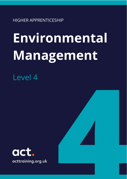HIGHER APPRENTICESHIP

# **Environmental Management**

Level 4

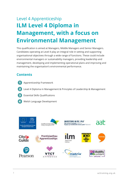## Level 4 Apprenticeship **ILM Level 4 Diploma in Management, with a focus on Environmental Management**

This qualification is aimed at Managers, Middle Managers and Senior Managers. Candidates operating at Level 4 play an integral role in setting and supporting organisational objectives through a wide range of functions. These could include environmental managers or sustainability managers, providing leadership and management, developing and implementing operational plans and improving and maintaining the organisation's environmental performance.

#### **Contents**

- Apprenticeship Framework
- Level 4 Diploma in Management & Principles of Leadership & Management
- Essential Skills Qualifications
- Welsh Language Development

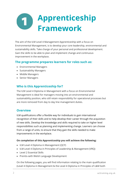## **Apprenticeship Framework**

The aim of the ILM Level 4 Management Apprenticeship with a focus on Environmental Management, is to develop your core leadership, environmental and sustainability skills. Take charge of your personal and professional development. Gain the skills to be able to plan and implement change and continuous improvement in the workplace.

#### **The programme prepares learners for roles such as:**

- Environmental Managers
- Sustainability Managers
- Middle Managers
- Senior Managers

#### **Who is this Apprenticeship for?**

The ILM Level 4 Diploma in Management with a focus on Environmental Management is ideal for managers moving into an environmental and sustainability position, who still retain responsibility for operational processes but are more removed from day to day line management duties.

#### **Overview**

ILM qualifications offer a flexible way for individuals to gain international recognition of their skills and to help develop their career through the acquisition of new skills. Develop the knowledge and skills required to take on higher level responsibilities such as planning and implementing change. Learners can choose from a range of units, to ensure that they gain the skills needed to make improvements in the workplace.

#### **On completion of this Apprenticeship you will achieve the following:**

- ILM Level 4 Diploma in Management (QCF)
- ILM Level 4 Diploma in Principles of Leadership & Management (VRQ)
- Level 2 Essential Skills
- Prentis-iaith Welsh Language Development

On the following pages, you will find information relating to the main qualification (Level 4 Diploma in Management & the Level 4 Diploma in Principles of L&M both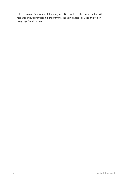with a focus on Environmental Management), as well as other aspects that will make up this Apprenticeship programme, including Essential Skills and Welsh Language Development.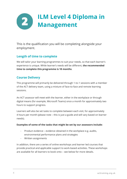### **ILM Level 4 Diploma in**  2 **Management**

This is the qualification you will be completing alongside your employment.

#### **Length of time to complete**

We will tailor your learning programmes to suit your needs, so that each learner's experience is unique. While learner's needs will be different, **the recommended time to complete this programme is 18 months**.

#### **Course Delivery**

This programme will primarily be delivered through 1-to-1 sessions with a member of the ACT delivery team, using a mixture of face-to-face and remote learning sessions.

An ACT assessor will meet with the learner, either in the workplace or through digital means (for example, Microsoft Teams) once a month for approximately two hours to support progress.

Learners will also be set tasks to complete between each visit, for approximately 4 hours per month (please note – this is just a guide and will vary based on learner needs).

#### **Examples of some of the tasks that might be set by our assessors include:**

- Product evidence evidence obtained in the workplace e.g. audits, environmental performance plans and strategies
- Written assignments

In addition, there are a series of online workshops and learner led courses that provide practical and applicable support to work-based activities. These workshops are available for all learners to book onto – see below for more details.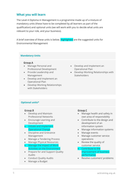#### **What you will learn**

The Level 4 Diploma in Management is a programme made up of a mixture of mandatory units (these have to be completed by all learners as part of the qualification) and optional units (we will work with you to decide what units are relevant to your role, and your business).

A brief overview of these units is below. Highlighted are the suggested units for Environmental Management

#### **Mandatory Units**

#### **Group A**

- Manage Personal and Professional Development
- Provide Leadership and Management
- Develop and Implement an Operational Plan
- Develop Working Relationships with Stakeholders
- Develop and Implement an Operational Plan
- Develop Working Relationships with **Stakeholders**

#### **Optional units\***

#### **Group B**

- Develop and Maintain Professional Networks
- Encourage Learning and Development
- Initiate and Implement Operational Change
- Discipline and Grievance Management
- Manage a Tendering Process
- Manage Physical Resources
- Manage the impact of Work Activities on the Environment
- Prepare for and Support Quality Audits
- Conduct Quality Audits
- Manage a Budget

#### **Group C**

- Manage health and safety in own area of responsibility
- Contribute to the design and development of an information system
- Manage information systems
- Manage events
- Manage customer service operations
- Review the quality of customer service
- Contribute to the improvement of business performance
- Resolve customers' problems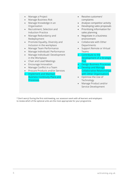- Manage a Project
- Manage Business Risk
- Manage Knowledge in an Organisation
- Recruitment, Selection and Induction Practice
- Manage Redundancy and Redeployment
- Promote Equality, Diversity and Inclusion in the workplace
- Manage Team Performance
- Manage Individuals' Performance
- Manage Individuals' Development in the Workplace
- Chair and Lead Meetings
- Encourage Innovation
- Manage Conflict in a Team
- Procure Products and/or Services
- Implement and Maintain Business Continuity Plans and Processes
- Resolve customers' complaints
- Analyse competitor activity
- Developing sales proposals
- Prioritising information for sales planning
- Negotiate in a business environment
- Collaborate with Other **Departments**
- Support Remote or Virtual Teams
- Contribute to the Development of a Strategic **Plan**
- Design Business Processes
- Develop and Manage Collaborative Relationships with Other Organisations
- Optimise the Use of Technology
- Manage Product and/or Service Development

\* Don't worry! During the first visit/meeting, our assessors work with all learners and employers to review which of the optional units are the most appropriate for your programme.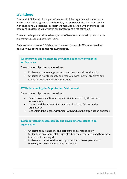#### **Workshops**

The Level 4 Diploma in Principles of Leadership & Management with a focus on Environmental Management is delivered by an approved ILM tutor via 5 one-day workshops and 2 e-learning / assessment modules over a number of pre-agreed dates and is assessed via 6 written assignments and a reflective log.

These workshops are delivered using a mix of face-to-face workshops and online programmes such as Microsoft Teams.

Each workshop runs for 2.5-3 hours and are run frequently. **We have provided an overview of these on the following pages.**

#### **525 Improving and Maintaining the Organisations Environmental Performance**

The workshop objectives are as follows:

- Understand the strategic context of environmental sustainability
- Understand how to identify and resolve environmental problems and issues through an environmental audit

#### **507 Understanding the Organisation Environment**

The workshop objectives are as follows:

- Be able to analyse how an organisation is affected by the macroenvironment
- Understand the impact of economic and political factors on the organisation
- Understand the legal environment within which the organisation operates

#### **332 Understanding sustainability and environmental issues in an organisation**

- Understand sustainability and corporate social responsibility
- Understand environmental issues affecting the organisation and how these issues can be managed
- Understand the constraints and opportunities of an organisation's building(s) in being environmentally friendly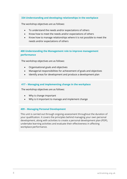#### **334 Understanding and developing relationships in the workplace**

The workshop objectives are as follows:

- To understand the needs and/or expectations of others
- Know how to meet the needs and/or expectations of others
- Know how to manage relationships where it is not possible to meet the needs and/or expectations of others

#### **400 Understanding the Management role to improve management performance**

The workshop objectives are as follows:

- Organisational goals and objectives
- Managerial responsibilities for achievement of goals and objectives
- Identify areas for development and produce a development plan

#### **417 – Managing and implementing change in the workplace**

The workshop objectives are as follows:

- Why is change important
- Why is it important to manage and implement change

#### **409 – Managing Personal Development**

This unit is carried out through ongoing assessment throughout the duration of your qualification. It covers the principles behind managing your own personal development, along with activities to create a personal development plan (PDP), undertake learning activities and evaluate their effectiveness in affecting workplace performance.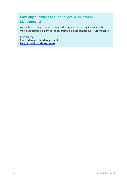#### **Have any questions about our Level 4 Diploma in**

#### **Management?**

We are here to help. If you have any further questions or enquiries about the main qualification element of the programme, please contact our Route Manager:

**Kelly Harry Route Manager for Management [kellyharry@acttraining.org.uk](mailto:kellyharry@acttraining.org.uk)**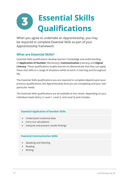## **Essential Skills** 3) **Qualifications**

When you agree to undertake an Apprenticeship, you may be required to complete Essential Skills as part of your Apprenticeship framework.

#### **What are Essential Skills?**

Essential Skills qualifications develop learners' knowledge and understanding of **Application of Number** (Numeracy), **Communication** (Literacy) and **Digital Literacy**. These qualifications enable learners to demonstrate that they can apply these vital skills to a range of situations whilst at work, in learning and throughout life.

The Essential Skills qualifications you are required to complete depend upon your previous qualifications, the Apprenticeship level you are completing and your own particular needs.

The Essential Skills qualifications are all available at four levels, depending on your individual needs (Entry 3, Level 1, Level 2, and Level 3) and includes:

#### **Essential Application of Number Skills**

- Understand numerical data
- Carry out calculations
- Interpret and present results findings

#### **Essential Communication Skills**

- Speaking and listening
- Reading
- Writing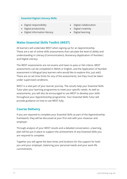#### **Essential Digital Literacy Skills**

- Digital responsibility
- Digital productivity
- Digital information literacy
- Digital collaboration
- Digital creativity
- Digital learning

#### **Wales Essential Skills Toolkit (WEST)**

All learners will undertake WEST when signing up for an Apprenticeship. These are a set of online skills assessments that calculate the level of ability and understanding in Literacy (Communication), Numeracy (Application of Number) and Digital Literacy.

The WEST assessments are not exams and have no pass or fail criteria. WEST assessments can be completed in Welsh or English, and the Application of Number assessment is bilingual (any learners who would like to explore this, just ask!). There are no set time limits for any of the assessments, but they must be taken under supervised conditions.

WEST is a vital part of your learner journey. The results help your Essential Skills Tutor plan your learning programme to meet your specific needs. As well as assessments, you will also be encouraged to use WEST to develop your skills throughout your Apprenticeship programme. Your Essential Skills Tutor will provide guidance on how to use WEST fully.

#### **Course Delivery**

If you are required to complete your Essential Skills as part of the Apprenticeship framework, they will be discussed at your first visit with your Assessor and employer.

Through analysis of your WEST results and a detailed conversation, a learning plan will be put in place to support the achievement of any Essential Skills you are required to complete.

Together you will agree the best times and locations for the support for both you and your employer, balancing your personal needs and your work life commitments.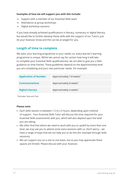#### **Examples of how we will support you with this include:**

- Support with a member of our Essential Skills team
- Attendance at group workshops
- Digital workshop sessions

If you have already achieved qualifications in literacy, numeracy or digital literacy, but would like to further develop these skills with the support of our Tutors, just let your Assessor know and this can be arranged for you.

#### **Length of time to complete**

We tailor your learning programme to your needs; so, every learner's learning programme is unique. Whilst we cannot say for certain how long it will take to complete your Essential Skills qualification(s), we are able to give you a little guidance on time frames. These guidelines depend on the Apprenticeship level you are completing and your own particular needs. For example:

| <b>Application of Number</b> | Approximately 7-8 weeks <sup>*</sup> |
|------------------------------|--------------------------------------|
| <b>Communications</b>        | Approximately 8 weeks <sup>*</sup>   |
| <b>Digital Literacy</b>      | Approximately 4 weeks <sup>*</sup>   |

\*Includes Task and Test

#### **Please note:**

- Each skills session is between 1.5 to 2.5 hours, depending upon method of support. Your Essential Skills Tutor will discuss the time required for your Essential Skills assessments with you, which will also depend upon the level you are taking.
- We often find that where we need to work with you to upskill by more than one level, we may ask you to attend some extra sessions with us. Don't worry – we have a range of ways that we can help you to do this (for example through skills sessions).
- We can support you on a one to one basis, but as you may appreciate these spaces are limited. Please discuss with your Assessor.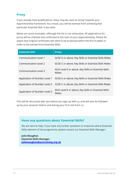#### **Proxy**

If you already hold qualifications, these may be used as 'proxy' towards your Apprenticeship framework. As a result, you will be exempt from achieving that particular Essential Skill, if you wish.

Below are some examples, although this list is not exhaustive. All applications for proxy will be checked and confirmed at the start of your Apprenticeship. Please be aware that original certificates will need to be produced within the first 8 weeks in order to be exempt from Essential Skills.

| <b>Essential Skill</b>        | <b>Proxy</b>                                                   |
|-------------------------------|----------------------------------------------------------------|
| <b>Communication Level 1</b>  | GCSE G or above, Key Skills or Essential Skills Wales          |
| Communication Level 2         | GCSE C or above, Key Skills or Essential Skills Wales          |
| Communication Level 3         | AS/A Level E or above, Key Skills or Essential Skills<br>Wales |
| Application of Number Level 1 | GCSE G or above, Key Skills or Essential Skills Wales          |
| Application of Number Level 2 | GCSE C or above, Key Skills or Essential Skills Wales          |
| Application of Number Level 3 | AS/A Level E or above, Key Skills or Essential Skills<br>Wales |

This will be discussed with you before you sign up with us, and will also be followed up by your assessor before and during your first visit from us.

#### **Have any questions about Essential Skills?**

We are here to help. If you have any further questions or enquiries about Essential Skills element of the programme, please contact our Essential Skills Manager:

**Julie Maughan Essential Skills Manager [juliemaughan@acttraining.org.uk](mailto:juliemaughan@acttraining.org.uk)**